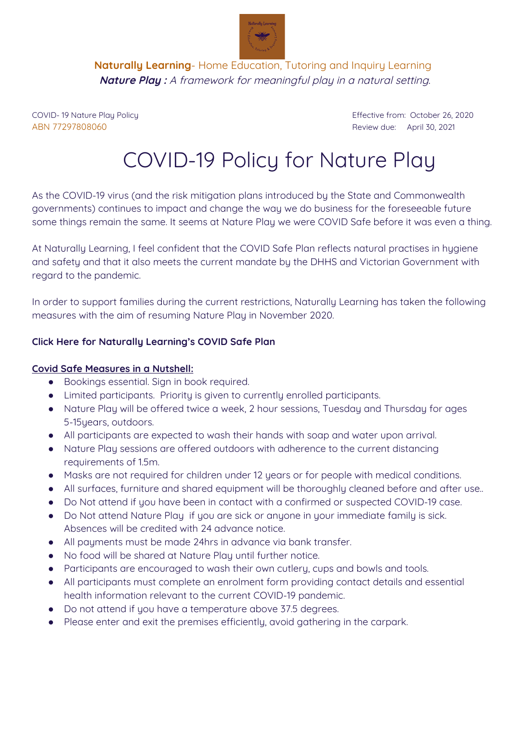

**Naturally Learning**- Home Education, Tutoring and Inquiry Learning **Nature Play :** A framework for meaningful play in <sup>a</sup> natural setting.

ABN 77297808060 Review due: April 30, 2021

COVID- 19 Nature Play Policy Effective from: October 26, 2020

## COVID-19 Policy for Nature Play

As the COVID-19 virus (and the risk mitigation plans introduced by the State and Commonwealth governments) continues to impact and change the way we do business for the foreseeable future some things remain the same. It seems at Nature Play we were COVID Safe before it was even a thing.

At Naturally Learning, I feel confident that the COVID Safe Plan reflects natural practises in hygiene and safety and that it also meets the current mandate by the DHHS and Victorian Government with regard to the pandemic.

In order to support families during the current restrictions, Naturally Learning has taken the following measures with the aim of resuming Nature Play in November 2020.

## **Click Here for Naturally Learning's COVID Safe Plan**

## **Covid Safe Measures in a Nutshell:**

- Bookings essential. Sign in book required.
- Limited participants. Priority is given to currently enrolled participants.
- Nature Play will be offered twice a week, 2 hour sessions, Tuesday and Thursday for ages 5-15years, outdoors.
- All participants are expected to wash their hands with soap and water upon arrival.
- Nature Play sessions are offered outdoors with adherence to the current distancing requirements of 1.5m.
- Masks are not required for children under 12 years or for people with medical conditions.
- All surfaces, furniture and shared equipment will be thoroughly cleaned before and after use..
- Do Not attend if you have been in contact with a confirmed or suspected COVID-19 case.
- Do Not attend Nature Play if you are sick or anyone in your immediate family is sick. Absences will be credited with 24 advance notice.
- All payments must be made 24hrs in advance via bank transfer.
- No food will be shared at Nature Play until further notice.
- Participants are encouraged to wash their own cutlery, cups and bowls and tools.
- All participants must complete an enrolment form providing contact details and essential health information relevant to the current COVID-19 pandemic.
- Do not attend if you have a temperature above 37.5 degrees.
- Please enter and exit the premises efficiently, avoid gathering in the carpark.